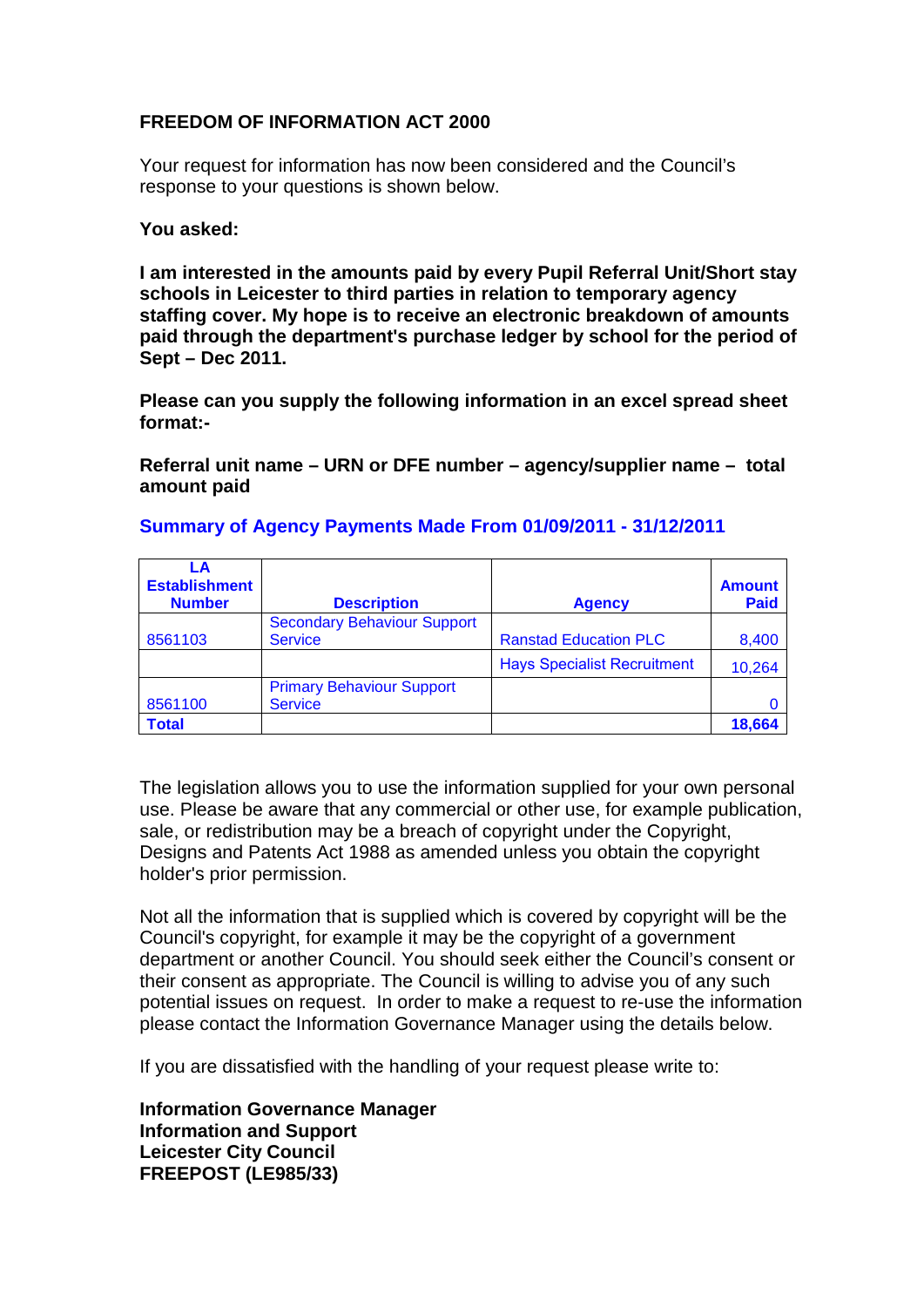## **FREEDOM OF INFORMATION ACT 2000**

Your request for information has now been considered and the Council's response to your questions is shown below.

## **You asked:**

**I am interested in the amounts paid by every Pupil Referral Unit/Short stay schools in Leicester to third parties in relation to temporary agency staffing cover. My hope is to receive an electronic breakdown of amounts paid through the department's purchase ledger by school for the period of Sept – Dec 2011.**

**Please can you supply the following information in an excel spread sheet format:-** 

**Referral unit name – URN or DFE number – agency/supplier name – total amount paid**

| LA<br><b>Establishment</b><br><b>Number</b> | <b>Description</b>                 | <b>Agency</b>                      | <b>Amount</b><br><b>Paid</b> |
|---------------------------------------------|------------------------------------|------------------------------------|------------------------------|
|                                             | <b>Secondary Behaviour Support</b> |                                    |                              |
| 8561103                                     | <b>Service</b>                     | <b>Ranstad Education PLC</b>       | 8,400                        |
|                                             |                                    | <b>Hays Specialist Recruitment</b> | 10,264                       |
|                                             | <b>Primary Behaviour Support</b>   |                                    |                              |
| 8561100                                     | <b>Service</b>                     |                                    |                              |
| <b>Total</b>                                |                                    |                                    | 18.664                       |

## **Summary of Agency Payments Made From 01/09/2011 - 31/12/2011**

The legislation allows you to use the information supplied for your own personal use. Please be aware that any commercial or other use, for example publication, sale, or redistribution may be a breach of copyright under the Copyright, Designs and Patents Act 1988 as amended unless you obtain the copyright holder's prior permission.

Not all the information that is supplied which is covered by copyright will be the Council's copyright, for example it may be the copyright of a government department or another Council. You should seek either the Council's consent or their consent as appropriate. The Council is willing to advise you of any such potential issues on request. In order to make a request to re-use the information please contact the Information Governance Manager using the details below.

If you are dissatisfied with the handling of your request please write to:

**Information Governance Manager Information and Support Leicester City Council FREEPOST (LE985/33)**